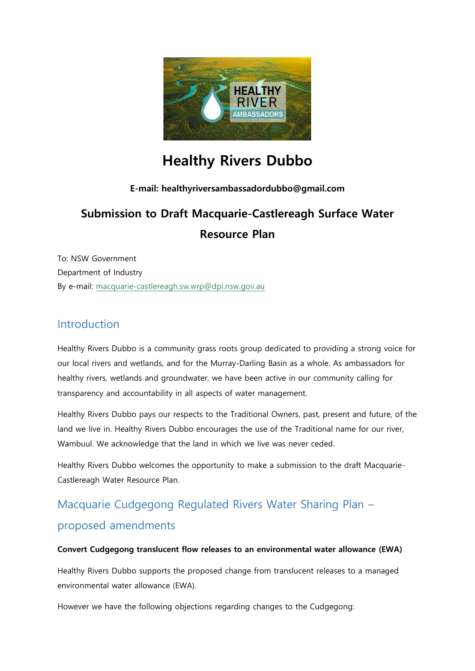

# **Healthy Rivers Dubbo**

# **E-mail: healthyriversambassadordubbo@gmail.com**

# **Submission to Draft Macquarie-Castlereagh Surface Water Resource Plan**

To: NSW Government Department of Industry By e-mail: [macquarie-castlereagh.sw.wrp@dpi.nsw.gov.au](mailto:macquarie-castlereagh.sw.wrp@dpi.nsw.gov.au)

# Introduction

Healthy Rivers Dubbo is a community grass roots group dedicated to providing a strong voice for our local rivers and wetlands, and for the Murray-Darling Basin as a whole. As ambassadors for healthy rivers, wetlands and groundwater, we have been active in our community calling for transparency and accountability in all aspects of water management.

Healthy Rivers Dubbo pays our respects to the Traditional Owners, past, present and future, of the land we live in. Healthy Rivers Dubbo encourages the use of the Traditional name for our river, Wambuul. We acknowledge that the land in which we live was never ceded.

Healthy Rivers Dubbo welcomes the opportunity to make a submission to the draft Macquarie-Castlereagh Water Resource Plan.

# Macquarie Cudgegong Regulated Rivers Water Sharing Plan – proposed amendments

# **Convert Cudgegong translucent flow releases to an environmental water allowance (EWA)**

Healthy Rivers Dubbo supports the proposed change from translucent releases to a managed environmental water allowance (EWA).

However we have the following objections regarding changes to the Cudgegong: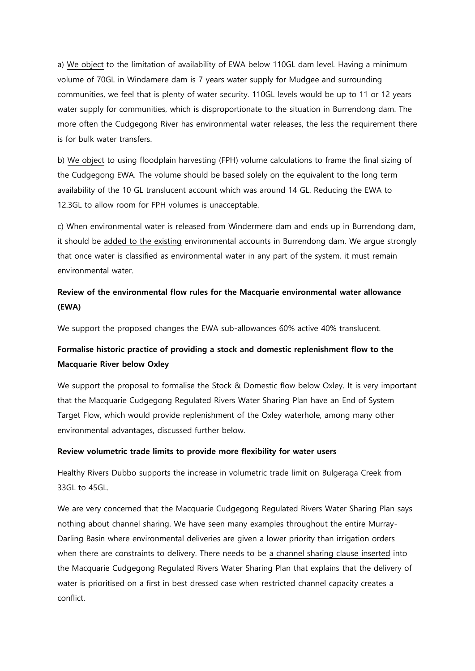a) We object to the limitation of availability of EWA below 110GL dam level. Having a minimum volume of 70GL in Windamere dam is 7 years water supply for Mudgee and surrounding communities, we feel that is plenty of water security. 110GL levels would be up to 11 or 12 years water supply for communities, which is disproportionate to the situation in Burrendong dam. The more often the Cudgegong River has environmental water releases, the less the requirement there is for bulk water transfers.

b) We object to using floodplain harvesting (FPH) volume calculations to frame the final sizing of the Cudgegong EWA. The volume should be based solely on the equivalent to the long term availability of the 10 GL translucent account which was around 14 GL. Reducing the EWA to 12.3GL to allow room for FPH volumes is unacceptable.

c) When environmental water is released from Windermere dam and ends up in Burrendong dam, it should be added to the existing environmental accounts in Burrendong dam. We argue strongly that once water is classified as environmental water in any part of the system, it must remain environmental water.

# **Review of the environmental flow rules for the Macquarie environmental water allowance (EWA)**

We support the proposed changes the EWA sub-allowances 60% active 40% translucent.

# **Formalise historic practice of providing a stock and domestic replenishment flow to the Macquarie River below Oxley**

We support the proposal to formalise the Stock & Domestic flow below Oxley. It is very important that the Macquarie Cudgegong Regulated Rivers Water Sharing Plan have an End of System Target Flow, which would provide replenishment of the Oxley waterhole, among many other environmental advantages, discussed further below.

### **Review volumetric trade limits to provide more flexibility for water users**

Healthy Rivers Dubbo supports the increase in volumetric trade limit on Bulgeraga Creek from 33GL to 45GL.

We are very concerned that the Macquarie Cudgegong Regulated Rivers Water Sharing Plan says nothing about channel sharing. We have seen many examples throughout the entire Murray-Darling Basin where environmental deliveries are given a lower priority than irrigation orders when there are constraints to delivery. There needs to be a channel sharing clause inserted into the Macquarie Cudgegong Regulated Rivers Water Sharing Plan that explains that the delivery of water is prioritised on a first in best dressed case when restricted channel capacity creates a conflict.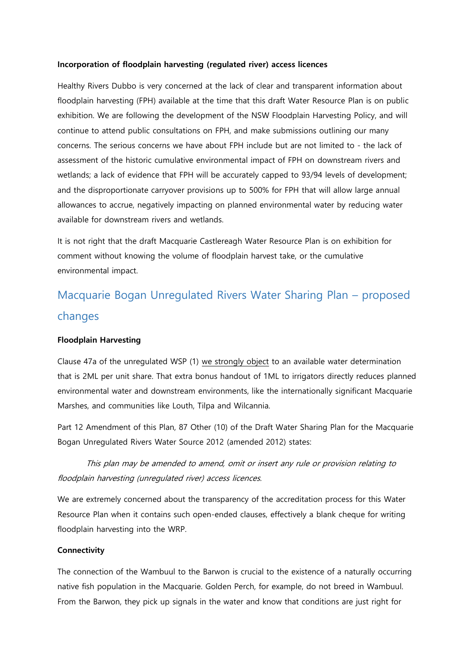#### **Incorporation of floodplain harvesting (regulated river) access licences**

Healthy Rivers Dubbo is very concerned at the lack of clear and transparent information about floodplain harvesting (FPH) available at the time that this draft Water Resource Plan is on public exhibition. We are following the development of the NSW Floodplain Harvesting Policy, and will continue to attend public consultations on FPH, and make submissions outlining our many concerns. The serious concerns we have about FPH include but are not limited to - the lack of assessment of the historic cumulative environmental impact of FPH on downstream rivers and wetlands; a lack of evidence that FPH will be accurately capped to 93/94 levels of development; and the disproportionate carryover provisions up to 500% for FPH that will allow large annual allowances to accrue, negatively impacting on planned environmental water by reducing water available for downstream rivers and wetlands.

It is not right that the draft Macquarie Castlereagh Water Resource Plan is on exhibition for comment without knowing the volume of floodplain harvest take, or the cumulative environmental impact.

# Macquarie Bogan Unregulated Rivers Water Sharing Plan – proposed changes

### **Floodplain Harvesting**

Clause 47a of the unregulated WSP (1) we strongly object to an available water determination that is 2ML per unit share. That extra bonus handout of 1ML to irrigators directly reduces planned environmental water and downstream environments, like the internationally significant Macquarie Marshes, and communities like Louth, Tilpa and Wilcannia.

Part 12 Amendment of this Plan, 87 Other (10) of the Draft Water Sharing Plan for the Macquarie Bogan Unregulated Rivers Water Source 2012 (amended 2012) states:

This plan may be amended to amend, omit or insert any rule or provision relating to floodplain harvesting (unregulated river) access licences.

We are extremely concerned about the transparency of the accreditation process for this Water Resource Plan when it contains such open-ended clauses, effectively a blank cheque for writing floodplain harvesting into the WRP.

### **Connectivity**

The connection of the Wambuul to the Barwon is crucial to the existence of a naturally occurring native fish population in the Macquarie. Golden Perch, for example, do not breed in Wambuul. From the Barwon, they pick up signals in the water and know that conditions are just right for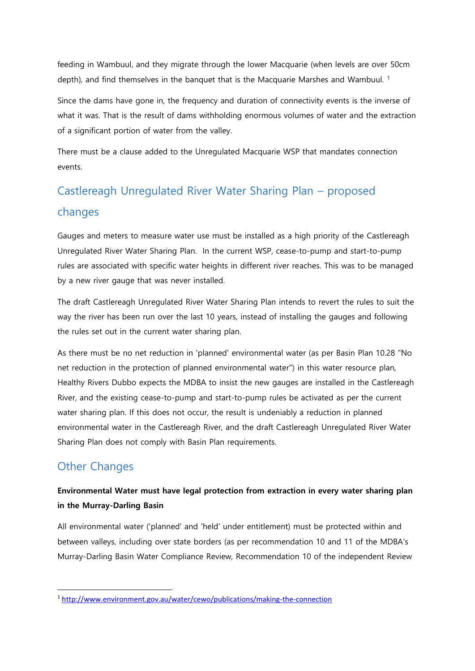feeding in Wambuul, and they migrate through the lower Macquarie (when levels are over 50cm depth), and find themselves in the banquet that is the Macquarie Marshes and Wambuul.<sup>1</sup>

Since the dams have gone in, the frequency and duration of connectivity events is the inverse of what it was. That is the result of dams withholding enormous volumes of water and the extraction of a significant portion of water from the valley.

There must be a clause added to the Unregulated Macquarie WSP that mandates connection events.

# Castlereagh Unregulated River Water Sharing Plan – proposed changes

Gauges and meters to measure water use must be installed as a high priority of the Castlereagh Unregulated River Water Sharing Plan. In the current WSP, cease-to-pump and start-to-pump rules are associated with specific water heights in different river reaches. This was to be managed by a new river gauge that was never installed.

The draft Castlereagh Unregulated River Water Sharing Plan intends to revert the rules to suit the way the river has been run over the last 10 years, instead of installing the gauges and following the rules set out in the current water sharing plan.

As there must be no net reduction in 'planned' environmental water (as per Basin Plan 10.28 "No net reduction in the protection of planned environmental water") in this water resource plan, Healthy Rivers Dubbo expects the MDBA to insist the new gauges are installed in the Castlereagh River, and the existing cease-to-pump and start-to-pump rules be activated as per the current water sharing plan. If this does not occur, the result is undeniably a reduction in planned environmental water in the Castlereagh River, and the draft Castlereagh Unregulated River Water Sharing Plan does not comply with Basin Plan requirements.

# Other Changes

**.** 

# **Environmental Water must have legal protection from extraction in every water sharing plan in the Murray-Darling Basin**

All environmental water ('planned' and 'held' under entitlement) must be protected within and between valleys, including over state borders (as per recommendation 10 and 11 of the MDBA's Murray-Darling Basin Water Compliance Review, Recommendation 10 of the independent Review

<sup>1</sup> <http://www.environment.gov.au/water/cewo/publications/making-the-connection>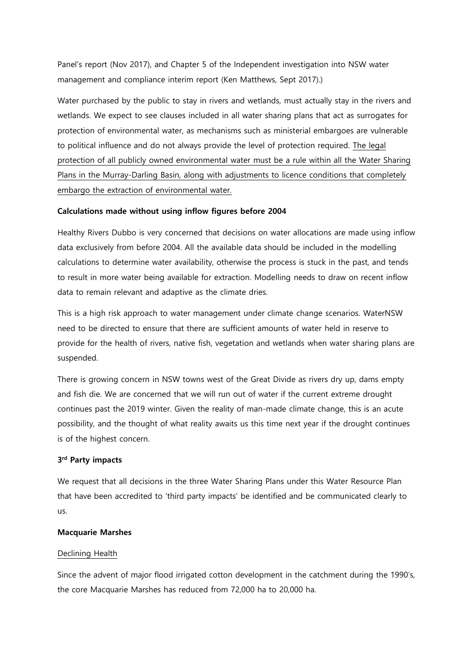Panel's report (Nov 2017), and Chapter 5 of the Independent investigation into NSW water management and compliance interim report (Ken Matthews, Sept 2017).)

Water purchased by the public to stay in rivers and wetlands, must actually stay in the rivers and wetlands. We expect to see clauses included in all water sharing plans that act as surrogates for protection of environmental water, as mechanisms such as ministerial embargoes are vulnerable to political influence and do not always provide the level of protection required. The legal protection of all publicly owned environmental water must be a rule within all the Water Sharing Plans in the Murray-Darling Basin, along with adjustments to licence conditions that completely embargo the extraction of environmental water.

## **Calculations made without using inflow figures before 2004**

Healthy Rivers Dubbo is very concerned that decisions on water allocations are made using inflow data exclusively from before 2004. All the available data should be included in the modelling calculations to determine water availability, otherwise the process is stuck in the past, and tends to result in more water being available for extraction. Modelling needs to draw on recent inflow data to remain relevant and adaptive as the climate dries.

This is a high risk approach to water management under climate change scenarios. WaterNSW need to be directed to ensure that there are sufficient amounts of water held in reserve to provide for the health of rivers, native fish, vegetation and wetlands when water sharing plans are suspended.

There is growing concern in NSW towns west of the Great Divide as rivers dry up, dams empty and fish die. We are concerned that we will run out of water if the current extreme drought continues past the 2019 winter. Given the reality of man-made climate change, this is an acute possibility, and the thought of what reality awaits us this time next year if the drought continues is of the highest concern.

### **3 rd Party impacts**

We request that all decisions in the three Water Sharing Plans under this Water Resource Plan that have been accredited to 'third party impacts' be identified and be communicated clearly to us.

### **Macquarie Marshes**

### Declining Health

Since the advent of major flood irrigated cotton development in the catchment during the 1990's, the core Macquarie Marshes has reduced from 72,000 ha to 20,000 ha.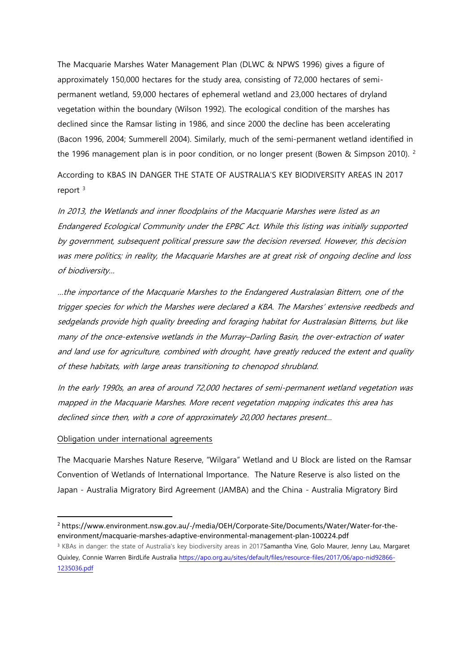The Macquarie Marshes Water Management Plan (DLWC & NPWS 1996) gives a figure of approximately 150,000 hectares for the study area, consisting of 72,000 hectares of semipermanent wetland, 59,000 hectares of ephemeral wetland and 23,000 hectares of dryland vegetation within the boundary (Wilson 1992). The ecological condition of the marshes has declined since the Ramsar listing in 1986, and since 2000 the decline has been accelerating (Bacon 1996, 2004; Summerell 2004). Similarly, much of the semi-permanent wetland identified in the 1996 management plan is in poor condition, or no longer present (Bowen & Simpson 2010). <sup>2</sup>

According to KBAS IN DANGER THE STATE OF AUSTRALIA'S KEY BIODIVERSITY AREAS IN 2017 report  $3$ 

In 2013, the Wetlands and inner floodplains of the Macquarie Marshes were listed as an Endangered Ecological Community under the EPBC Act. While this listing was initially supported by government, subsequent political pressure saw the decision reversed. However, this decision was mere politics; in reality, the Macquarie Marshes are at great risk of ongoing decline and loss of biodiversity…

…the importance of the Macquarie Marshes to the Endangered Australasian Bittern, one of the trigger species for which the Marshes were declared a KBA. The Marshes' extensive reedbeds and sedgelands provide high quality breeding and foraging habitat for Australasian Bitterns, but like many of the once-extensive wetlands in the Murray–Darling Basin, the over-extraction of water and land use for agriculture, combined with drought, have greatly reduced the extent and quality of these habitats, with large areas transitioning to chenopod shrubland.

In the early 1990s, an area of around 72,000 hectares of semi-permanent wetland vegetation was mapped in the Macquarie Marshes. More recent vegetation mapping indicates this area has declined since then, with a core of approximately 20,000 hectares present…

#### Obligation under international agreements

 $\overline{a}$ 

The Macquarie Marshes Nature Reserve, "Wilgara" Wetland and U Block are listed on the Ramsar Convention of Wetlands of International Importance. The Nature Reserve is also listed on the Japan - Australia Migratory Bird Agreement (JAMBA) and the China - Australia Migratory Bird

<sup>2</sup> https://www.environment.nsw.gov.au/-/media/OEH/Corporate-Site/Documents/Water/Water-for-theenvironment/macquarie-marshes-adaptive-environmental-management-plan-100224.pdf

<sup>&</sup>lt;sup>3</sup> KBAs in danger: the state of Australia's key biodiversity areas in 201[7Samantha Vine,](https://apo.org.au/node/92826) [Golo Maurer,](https://apo.org.au/node/92836) [Jenny Lau,](https://apo.org.au/node/92851) Margaret [Quixley,](https://apo.org.au/node/92856) [Connie Warren](https://apo.org.au/node/92861) [BirdLife Australia](https://apo.org.au/node/66014) [https://apo.org.au/sites/default/files/resource-files/2017/06/apo-nid92866-](https://apo.org.au/sites/default/files/resource-files/2017/06/apo-nid92866-1235036.pdf) [1235036.pdf](https://apo.org.au/sites/default/files/resource-files/2017/06/apo-nid92866-1235036.pdf)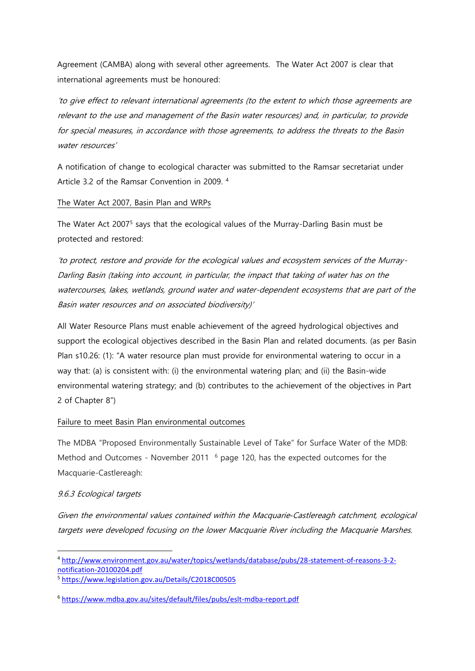Agreement (CAMBA) along with several other agreements. The Water Act 2007 is clear that international agreements must be honoured:

'to give effect to relevant international agreements (to the extent to which those agreements are relevant to the use and management of the Basin water resources) and, in particular, to provide for special measures, in accordance with those agreements, to address the threats to the Basin water resources'

A notification of change to ecological character was submitted to the Ramsar secretariat under Article 3.2 of the Ramsar Convention in 2009. <sup>4</sup>

## The Water Act 2007, Basin Plan and WRPs

The Water Act 2007<sup>5</sup> says that the ecological values of the Murray-Darling Basin must be protected and restored:

'to protect, restore and provide for the ecological values and ecosystem services of the Murray-Darling Basin (taking into account, in particular, the impact that taking of water has on the watercourses, lakes, wetlands, ground water and water-dependent ecosystems that are part of the Basin water resources and on associated biodiversity)'

All Water Resource Plans must enable achievement of the agreed hydrological objectives and support the ecological objectives described in the Basin Plan and related documents. (as per Basin Plan s10.26: (1): "A water resource plan must provide for environmental watering to occur in a way that: (a) is consistent with: (i) the environmental watering plan; and (ii) the Basin-wide environmental watering strategy; and (b) contributes to the achievement of the objectives in Part 2 of Chapter 8")

# Failure to meet Basin Plan environmental outcomes

The MDBA "Proposed Environmentally Sustainable Level of Take" for Surface Water of the MDB: Method and Outcomes - November 2011 <sup>6</sup> page 120, has the expected outcomes for the Macquarie-Castlereagh:

# 9.6.3 Ecological targets

**.** 

Given the environmental values contained within the Macquarie‐Castlereagh catchment, ecological targets were developed focusing on the lower Macquarie River including the Macquarie Marshes.

<sup>4</sup> [http://www.environment.gov.au/water/topics/wetlands/database/pubs/28-statement-of-reasons-3-2](http://www.environment.gov.au/water/topics/wetlands/database/pubs/28-statement-of-reasons-3-2-notification-20100204.pdf) [notification-20100204.pdf](http://www.environment.gov.au/water/topics/wetlands/database/pubs/28-statement-of-reasons-3-2-notification-20100204.pdf)

<sup>5</sup> <https://www.legislation.gov.au/Details/C2018C00505>

<sup>6</sup> <https://www.mdba.gov.au/sites/default/files/pubs/eslt-mdba-report.pdf>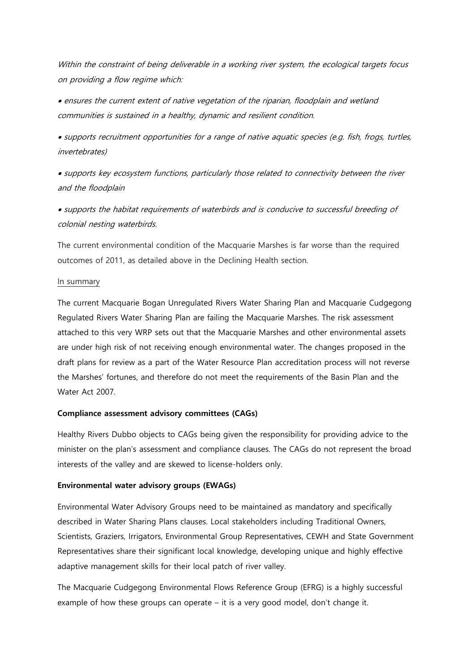Within the constraint of being deliverable in a working river system, the ecological targets focus on providing a flow regime which:

 $\bullet$  ensures the current extent of native vegetation of the riparian, floodplain and wetland communities is sustained in a healthy, dynamic and resilient condition.

 supports recruitment opportunities for a range of native aquatic species (e.g. fish, frogs, turtles, invertebrates)

 supports key ecosystem functions, particularly those related to connectivity between the river and the floodplain

 supports the habitat requirements of waterbirds and is conducive to successful breeding of colonial nesting waterbirds.

The current environmental condition of the Macquarie Marshes is far worse than the required outcomes of 2011, as detailed above in the Declining Health section.

### In summary

The current Macquarie Bogan Unregulated Rivers Water Sharing Plan and Macquarie Cudgegong Regulated Rivers Water Sharing Plan are failing the Macquarie Marshes. The risk assessment attached to this very WRP sets out that the Macquarie Marshes and other environmental assets are under high risk of not receiving enough environmental water. The changes proposed in the draft plans for review as a part of the Water Resource Plan accreditation process will not reverse the Marshes' fortunes, and therefore do not meet the requirements of the Basin Plan and the Water Act 2007.

# **Compliance assessment advisory committees (CAGs)**

Healthy Rivers Dubbo objects to CAGs being given the responsibility for providing advice to the minister on the plan's assessment and compliance clauses. The CAGs do not represent the broad interests of the valley and are skewed to license-holders only.

# **Environmental water advisory groups (EWAGs)**

Environmental Water Advisory Groups need to be maintained as mandatory and specifically described in Water Sharing Plans clauses. Local stakeholders including Traditional Owners, Scientists, Graziers, Irrigators, Environmental Group Representatives, CEWH and State Government Representatives share their significant local knowledge, developing unique and highly effective adaptive management skills for their local patch of river valley.

The Macquarie Cudgegong Environmental Flows Reference Group (EFRG) is a highly successful example of how these groups can operate  $-$  it is a very good model, don't change it.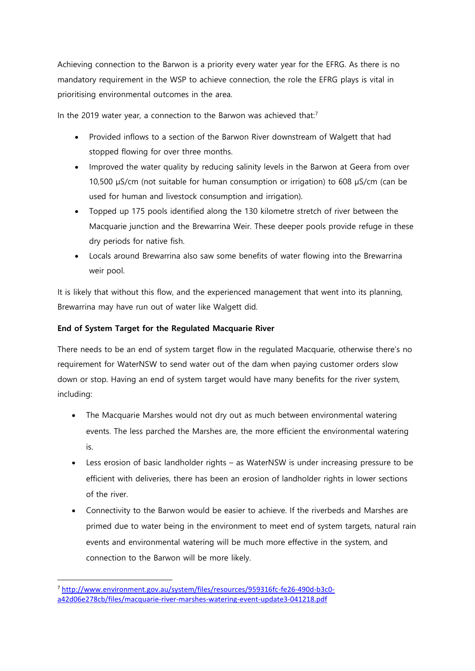Achieving connection to the Barwon is a priority every water year for the EFRG. As there is no mandatory requirement in the WSP to achieve connection, the role the EFRG plays is vital in prioritising environmental outcomes in the area.

In the 2019 water year, a connection to the Barwon was achieved that: $<sup>7</sup>$ </sup>

- Provided inflows to a section of the Barwon River downstream of Walgett that had stopped flowing for over three months.
- Improved the water quality by reducing salinity levels in the Barwon at Geera from over 10,500 µS/cm (not suitable for human consumption or irrigation) to 608 µS/cm (can be used for human and livestock consumption and irrigation).
- Topped up 175 pools identified along the 130 kilometre stretch of river between the Macquarie junction and the Brewarrina Weir. These deeper pools provide refuge in these dry periods for native fish.
- Locals around Brewarrina also saw some benefits of water flowing into the Brewarrina weir pool.

It is likely that without this flow, and the experienced management that went into its planning, Brewarrina may have run out of water like Walgett did.

# **End of System Target for the Regulated Macquarie River**

There needs to be an end of system target flow in the regulated Macquarie, otherwise there's no requirement for WaterNSW to send water out of the dam when paying customer orders slow down or stop. Having an end of system target would have many benefits for the river system, including:

- The Macquarie Marshes would not dry out as much between environmental watering events. The less parched the Marshes are, the more efficient the environmental watering is.
- Less erosion of basic landholder rights as WaterNSW is under increasing pressure to be efficient with deliveries, there has been an erosion of landholder rights in lower sections of the river.
- Connectivity to the Barwon would be easier to achieve. If the riverbeds and Marshes are primed due to water being in the environment to meet end of system targets, natural rain events and environmental watering will be much more effective in the system, and connection to the Barwon will be more likely.

**.** 

<sup>7</sup> [http://www.environment.gov.au/system/files/resources/959316fc-fe26-490d-b3c0](http://www.environment.gov.au/system/files/resources/959316fc-fe26-490d-b3c0-a42d06e278cb/files/macquarie-river-marshes-watering-event-update3-041218.pdf) [a42d06e278cb/files/macquarie-river-marshes-watering-event-update3-041218.pdf](http://www.environment.gov.au/system/files/resources/959316fc-fe26-490d-b3c0-a42d06e278cb/files/macquarie-river-marshes-watering-event-update3-041218.pdf)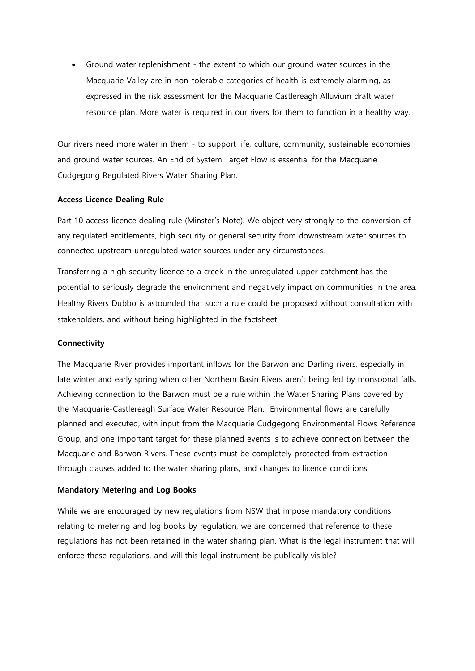Ground water replenishment - the extent to which our ground water sources in the Macquarie Valley are in non-tolerable categories of health is extremely alarming, as expressed in the risk assessment for the Macquarie Castlereagh Alluvium draft water resource plan. More water is required in our rivers for them to function in a healthy way.

Our rivers need more water in them - to support life, culture, community, sustainable economies and ground water sources. An End of System Target Flow is essential for the Macquarie Cudgegong Regulated Rivers Water Sharing Plan.

### **Access Licence Dealing Rule**

Part 10 access licence dealing rule (Minster's Note). We object very strongly to the conversion of any regulated entitlements, high security or general security from downstream water sources to connected upstream unregulated water sources under any circumstances.

Transferring a high security licence to a creek in the unregulated upper catchment has the potential to seriously degrade the environment and negatively impact on communities in the area. Healthy Rivers Dubbo is astounded that such a rule could be proposed without consultation with stakeholders, and without being highlighted in the factsheet.

#### **Connectivity**

The Macquarie River provides important inflows for the Barwon and Darling rivers, especially in late winter and early spring when other Northern Basin Rivers aren't being fed by monsoonal falls. Achieving connection to the Barwon must be a rule within the Water Sharing Plans covered by the Macquarie-Castlereagh Surface Water Resource Plan. Environmental flows are carefully planned and executed, with input from the Macquarie Cudgegong Environmental Flows Reference Group, and one important target for these planned events is to achieve connection between the Macquarie and Barwon Rivers. These events must be completely protected from extraction through clauses added to the water sharing plans, and changes to licence conditions.

#### **Mandatory Metering and Log Books**

While we are encouraged by new regulations from NSW that impose mandatory conditions relating to metering and log books by regulation, we are concerned that reference to these regulations has not been retained in the water sharing plan. What is the legal instrument that will enforce these regulations, and will this legal instrument be publically visible?